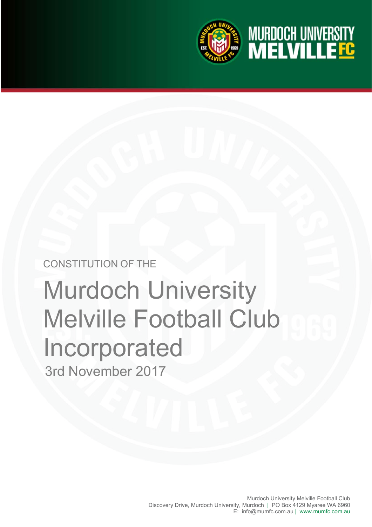

**MURDOCH UNIVERSITY<br>MELVILLETG** 



# 3rd November 2017 Murdoch University Melville Football Club Incorporated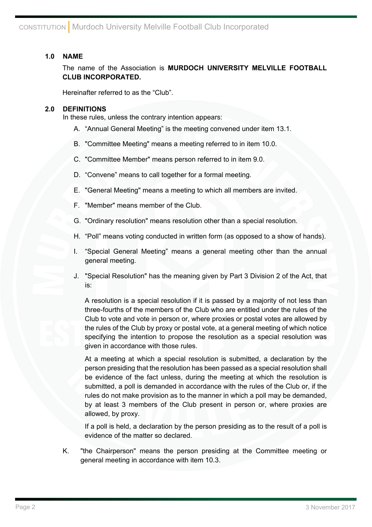# **1.0 NAME**

The name of the Association is **MURDOCH UNIVERSITY MELVILLE FOOTBALL CLUB INCORPORATED.**

Hereinafter referred to as the "Club".

## **2.0 DEFINITIONS**

In these rules, unless the contrary intention appears:

- A. "Annual General Meeting" is the meeting convened under item 13.1.
- B. "Committee Meeting" means a meeting referred to in item 10.0.
- C. "Committee Member" means person referred to in item 9.0.
- D. "Convene" means to call together for a formal meeting.
- E. "General Meeting" means a meeting to which all members are invited.
- F. "Member" means member of the Club.
- G. "Ordinary resolution" means resolution other than a special resolution.
- H. "Poll" means voting conducted in written form (as opposed to a show of hands).
- I. "Special General Meeting" means a general meeting other than the annual general meeting.
- J. "Special Resolution" has the meaning given by Part 3 Division 2 of the Act, that is:

A resolution is a special resolution if it is passed by a majority of not less than three-fourths of the members of the Club who are entitled under the rules of the Club to vote and vote in person or, where proxies or postal votes are allowed by the rules of the Club by proxy or postal vote, at a general meeting of which notice specifying the intention to propose the resolution as a special resolution was given in accordance with those rules.

At a meeting at which a special resolution is submitted, a declaration by the person presiding that the resolution has been passed as a special resolution shall be evidence of the fact unless, during the meeting at which the resolution is submitted, a poll is demanded in accordance with the rules of the Club or, if the rules do not make provision as to the manner in which a poll may be demanded, by at least 3 members of the Club present in person or, where proxies are allowed, by proxy.

If a poll is held, a declaration by the person presiding as to the result of a poll is evidence of the matter so declared.

K. "the Chairperson" means the person presiding at the Committee meeting or general meeting in accordance with item 10.3.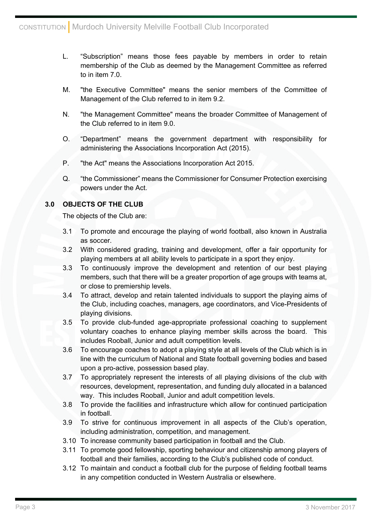- L. "Subscription" means those fees payable by members in order to retain membership of the Club as deemed by the Management Committee as referred to in item 7.0.
- M. "the Executive Committee" means the senior members of the Committee of Management of the Club referred to in item 9.2.
- N. "the Management Committee" means the broader Committee of Management of the Club referred to in item 9.0.
- O. "Department" means the government department with responsibility for administering the Associations Incorporation Act (2015).
- P. "the Act" means the Associations Incorporation Act 2015.
- Q. "the Commissioner" means the Commissioner for Consumer Protection exercising powers under the Act.

# **3.0 OBJECTS OF THE CLUB**

The objects of the Club are:

- 3.1 To promote and encourage the playing of world football, also known in Australia as soccer.
- 3.2 With considered grading, training and development, offer a fair opportunity for playing members at all ability levels to participate in a sport they enjoy.
- 3.3 To continuously improve the development and retention of our best playing members, such that there will be a greater proportion of age groups with teams at, or close to premiership levels.
- 3.4 To attract, develop and retain talented individuals to support the playing aims of the Club, including coaches, managers, age coordinators, and Vice-Presidents of playing divisions.
- 3.5 To provide club-funded age-appropriate professional coaching to supplement voluntary coaches to enhance playing member skills across the board. This includes Rooball, Junior and adult competition levels.
- 3.6 To encourage coaches to adopt a playing style at all levels of the Club which is in line with the curriculum of National and State football governing bodies and based upon a pro-active, possession based play.
- 3.7 To appropriately represent the interests of all playing divisions of the club with resources, development, representation, and funding duly allocated in a balanced way. This includes Rooball, Junior and adult competition levels.
- 3.8 To provide the facilities and infrastructure which allow for continued participation in football.
- 3.9 To strive for continuous improvement in all aspects of the Club's operation, including administration, competition, and management.
- 3.10 To increase community based participation in football and the Club.
- 3.11 To promote good fellowship, sporting behaviour and citizenship among players of football and their families, according to the Club's published code of conduct.
- 3.12 To maintain and conduct a football club for the purpose of fielding football teams in any competition conducted in Western Australia or elsewhere.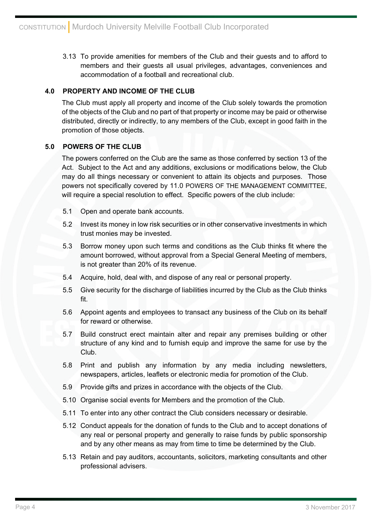3.13 To provide amenities for members of the Club and their guests and to afford to members and their guests all usual privileges, advantages, conveniences and accommodation of a football and recreational club.

# **4.0 PROPERTY AND INCOME OF THE CLUB**

The Club must apply all property and income of the Club solely towards the promotion of the objects of the Club and no part of that property or income may be paid or otherwise distributed, directly or indirectly, to any members of the Club, except in good faith in the promotion of those objects.

# **5.0 POWERS OF THE CLUB**

The powers conferred on the Club are the same as those conferred by section 13 of the Act. Subject to the Act and any additions, exclusions or modifications below, the Club may do all things necessary or convenient to attain its objects and purposes. Those powers not specifically covered by 11.0 POWERS OF THE MANAGEMENT COMMITTEE, will require a special resolution to effect. Specific powers of the club include:

- 5.1 Open and operate bank accounts.
- 5.2 Invest its money in low risk securities or in other conservative investments in which trust monies may be invested.
- 5.3 Borrow money upon such terms and conditions as the Club thinks fit where the amount borrowed, without approval from a Special General Meeting of members, is not greater than 20% of its revenue.
- 5.4 Acquire, hold, deal with, and dispose of any real or personal property.
- 5.5 Give security for the discharge of liabilities incurred by the Club as the Club thinks fit.
- 5.6 Appoint agents and employees to transact any business of the Club on its behalf for reward or otherwise.
- 5.7 Build construct erect maintain alter and repair any premises building or other structure of any kind and to furnish equip and improve the same for use by the Club.
- 5.8 Print and publish any information by any media including newsletters, newspapers, articles, leaflets or electronic media for promotion of the Club.
- 5.9 Provide gifts and prizes in accordance with the objects of the Club.
- 5.10 Organise social events for Members and the promotion of the Club.
- 5.11 To enter into any other contract the Club considers necessary or desirable.
- 5.12 Conduct appeals for the donation of funds to the Club and to accept donations of any real or personal property and generally to raise funds by public sponsorship and by any other means as may from time to time be determined by the Club.
- 5.13 Retain and pay auditors, accountants, solicitors, marketing consultants and other professional advisers.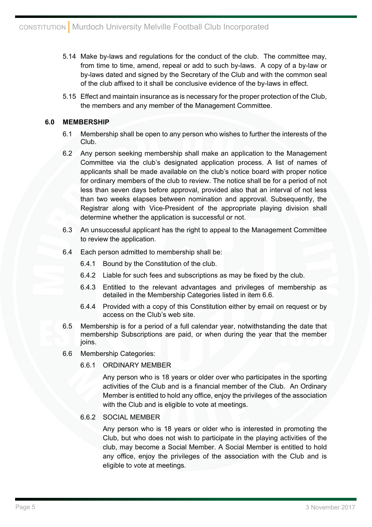- 5.14 Make by-laws and regulations for the conduct of the club. The committee may, from time to time, amend, repeal or add to such by-laws. A copy of a by-law or by-laws dated and signed by the Secretary of the Club and with the common seal of the club affixed to it shall be conclusive evidence of the by-laws in effect.
- 5.15 Effect and maintain insurance as is necessary for the proper protection of the Club, the members and any member of the Management Committee.

# **6.0 MEMBERSHIP**

- 6.1 Membership shall be open to any person who wishes to further the interests of the Club.
- 6.2 Any person seeking membership shall make an application to the Management Committee via the club's designated application process. A list of names of applicants shall be made available on the club's notice board with proper notice for ordinary members of the club to review. The notice shall be for a period of not less than seven days before approval, provided also that an interval of not less than two weeks elapses between nomination and approval. Subsequently, the Registrar along with Vice-President of the appropriate playing division shall determine whether the application is successful or not.
- 6.3 An unsuccessful applicant has the right to appeal to the Management Committee to review the application.
- 6.4 Each person admitted to membership shall be:
	- 6.4.1 Bound by the Constitution of the club.
	- 6.4.2 Liable for such fees and subscriptions as may be fixed by the club.
	- 6.4.3 Entitled to the relevant advantages and privileges of membership as detailed in the Membership Categories listed in item 6.6.
	- 6.4.4 Provided with a copy of this Constitution either by email on request or by access on the Club's web site.
- 6.5 Membership is for a period of a full calendar year, notwithstanding the date that membership Subscriptions are paid, or when during the year that the member joins.
- 6.6 Membership Categories:
	- 6.6.1 ORDINARY MEMBER

Any person who is 18 years or older over who participates in the sporting activities of the Club and is a financial member of the Club. An Ordinary Member is entitled to hold any office, enjoy the privileges of the association with the Club and is eligible to vote at meetings.

## 6.6.2 SOCIAL MEMBER

Any person who is 18 years or older who is interested in promoting the Club, but who does not wish to participate in the playing activities of the club, may become a Social Member. A Social Member is entitled to hold any office, enjoy the privileges of the association with the Club and is eligible to vote at meetings.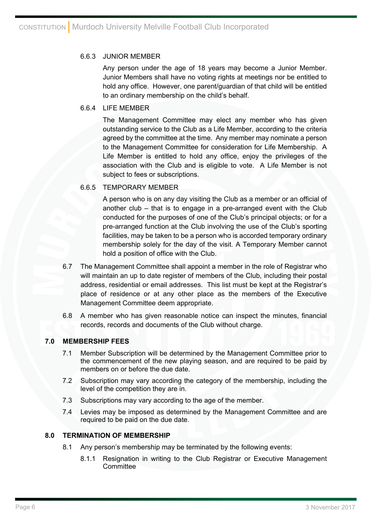## 6.6.3 JUNIOR MEMBER

Any person under the age of 18 years may become a Junior Member. Junior Members shall have no voting rights at meetings nor be entitled to hold any office. However, one parent/guardian of that child will be entitled to an ordinary membership on the child's behalf.

## 6.6.4 LIFE MEMBER

The Management Committee may elect any member who has given outstanding service to the Club as a Life Member, according to the criteria agreed by the committee at the time. Any member may nominate a person to the Management Committee for consideration for Life Membership. A Life Member is entitled to hold any office, enjoy the privileges of the association with the Club and is eligible to vote. A Life Member is not subject to fees or subscriptions.

# 6.6.5 TEMPORARY MEMBER

A person who is on any day visiting the Club as a member or an official of another club – that is to engage in a pre-arranged event with the Club conducted for the purposes of one of the Club's principal objects; or for a pre-arranged function at the Club involving the use of the Club's sporting facilities, may be taken to be a person who is accorded temporary ordinary membership solely for the day of the visit. A Temporary Member cannot hold a position of office with the Club.

- 6.7 The Management Committee shall appoint a member in the role of Registrar who will maintain an up to date register of members of the Club, including their postal address, residential or email addresses. This list must be kept at the Registrar's place of residence or at any other place as the members of the Executive Management Committee deem appropriate.
- 6.8 A member who has given reasonable notice can inspect the minutes, financial records, records and documents of the Club without charge.

## **7.0 MEMBERSHIP FEES**

- 7.1 Member Subscription will be determined by the Management Committee prior to the commencement of the new playing season, and are required to be paid by members on or before the due date.
- 7.2 Subscription may vary according the category of the membership, including the level of the competition they are in.
- 7.3 Subscriptions may vary according to the age of the member.
- 7.4 Levies may be imposed as determined by the Management Committee and are required to be paid on the due date.

## **8.0 TERMINATION OF MEMBERSHIP**

- 8.1 Any person's membership may be terminated by the following events:
	- 8.1.1 Resignation in writing to the Club Registrar or Executive Management **Committee**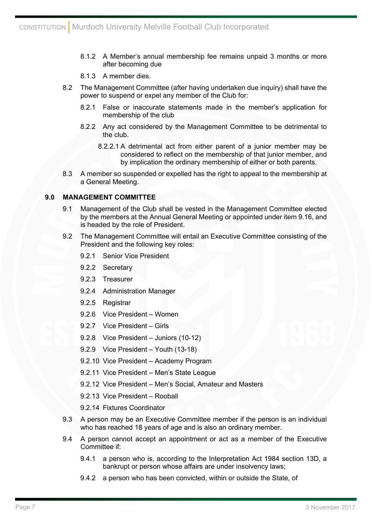- 8.1.2 A Member's annual membership fee remains unpaid 3 months or more after becoming due
- 8.1.3 A member dies.
- 8.2 The Management Committee (after having undertaken due inquiry) shall have the power to suspend or expel any member of the Club for:
	- 8.2.1 False or inaccurate statements made in the member's application for membership of the club
	- 8.2.2 Any act considered by the Management Committee to be detrimental to the club.
		- 8.2.2.1 A detrimental act from either parent of a junior member may be considered to reflect on the membership of that junior member, and by implication the ordinary membership of either or both parents.
- 8.3 A member so suspended or expelled has the right to appeal to the membership at a General Meeting.

## **9.0 MANAGEMENT COMMITTEE**

- 9.1 Management of the Club shall be vested in the Management Committee elected by the members at the Annual General Meeting or appointed under item 9.16, and is headed by the role of President.
- 9.2 The Management Committee will entail an Executive Committee consisting of the President and the following key roles:
	- 9.2.1 Senior Vice President
	- 9.2.2 Secretary
	- 9.2.3 Treasurer
	- 9.2.4 Administration Manager
	- 9.2.5 Registrar
	- 9.2.6 Vice President Women
	- 9.2.7 Vice President Girls
	- 9.2.8 Vice President Juniors (10-12)
	- 9.2.9 Vice President Youth (13-18)
	- 9.2.10 Vice President Academy Program
	- 9.2.11 Vice President Men's State League
	- 9.2.12 Vice President Men's Social, Amateur and Masters
	- 9.2.13 Vice President Rooball
	- 9.2.14 Fixtures Coordinator
- 9.3 A person may be an Executive Committee member if the person is an individual who has reached 18 years of age and is also an ordinary member.
- 9.4 A person cannot accept an appointment or act as a member of the Executive Committee if:
	- 9.4.1 a person who is, according to the Interpretation Act 1984 section 13D, a bankrupt or person whose affairs are under insolvency laws;
	- 9.4.2 a person who has been convicted, within or outside the State, of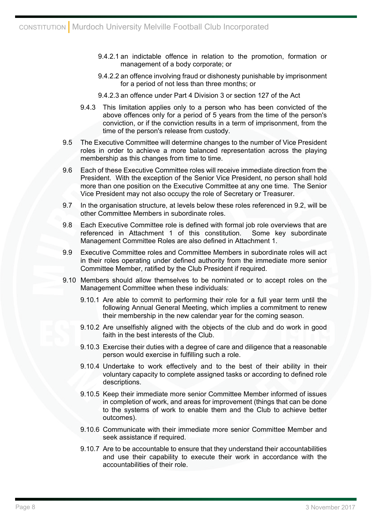- 9.4.2.1 an indictable offence in relation to the promotion, formation or management of a body corporate; or
- 9.4.2.2 an offence involving fraud or dishonesty punishable by imprisonment for a period of not less than three months; or
- 9.4.2.3 an offence under Part 4 Division 3 or section 127 of the Act
- 9.4.3 This limitation applies only to a person who has been convicted of the above offences only for a period of 5 years from the time of the person's conviction, or if the conviction results in a term of imprisonment, from the time of the person's release from custody.
- 9.5 The Executive Committee will determine changes to the number of Vice President roles in order to achieve a more balanced representation across the playing membership as this changes from time to time.
- 9.6 Each of these Executive Committee roles will receive immediate direction from the President. With the exception of the Senior Vice President, no person shall hold more than one position on the Executive Committee at any one time. The Senior Vice President may not also occupy the role of Secretary or Treasurer.
- 9.7 In the organisation structure, at levels below these roles referenced in 9.2, will be other Committee Members in subordinate roles.
- 9.8 Each Executive Committee role is defined with formal job role overviews that are referenced in Attachment 1 of this constitution. Some key subordinate Management Committee Roles are also defined in Attachment 1.
- 9.9 Executive Committee roles and Committee Members in subordinate roles will act in their roles operating under defined authority from the immediate more senior Committee Member, ratified by the Club President if required.
- 9.10 Members should allow themselves to be nominated or to accept roles on the Management Committee when these individuals:
	- 9.10.1 Are able to commit to performing their role for a full year term until the following Annual General Meeting, which implies a commitment to renew their membership in the new calendar year for the coming season.
	- 9.10.2 Are unselfishly aligned with the objects of the club and do work in good faith in the best interests of the Club.
	- 9.10.3 Exercise their duties with a degree of care and diligence that a reasonable person would exercise in fulfilling such a role.
	- 9.10.4 Undertake to work effectively and to the best of their ability in their voluntary capacity to complete assigned tasks or according to defined role descriptions.
	- 9.10.5 Keep their immediate more senior Committee Member informed of issues in completion of work, and areas for improvement (things that can be done to the systems of work to enable them and the Club to achieve better outcomes).
	- 9.10.6 Communicate with their immediate more senior Committee Member and seek assistance if required.
	- 9.10.7 Are to be accountable to ensure that they understand their accountabilities and use their capability to execute their work in accordance with the accountabilities of their role.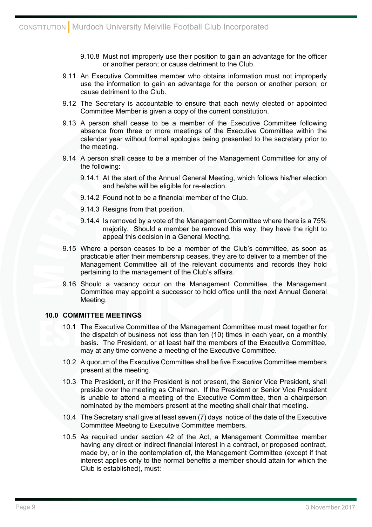- 9.10.8 Must not improperly use their position to gain an advantage for the officer or another person; or cause detriment to the Club.
- 9.11 An Executive Committee member who obtains information must not improperly use the information to gain an advantage for the person or another person; or cause detriment to the Club.
- 9.12 The Secretary is accountable to ensure that each newly elected or appointed Committee Member is given a copy of the current constitution.
- 9.13 A person shall cease to be a member of the Executive Committee following absence from three or more meetings of the Executive Committee within the calendar year without formal apologies being presented to the secretary prior to the meeting.
- 9.14 A person shall cease to be a member of the Management Committee for any of the following:
	- 9.14.1 At the start of the Annual General Meeting, which follows his/her election and he/she will be eligible for re-election.
	- 9.14.2 Found not to be a financial member of the Club.
	- 9.14.3 Resigns from that position.
	- 9.14.4 Is removed by a vote of the Management Committee where there is a 75% majority. Should a member be removed this way, they have the right to appeal this decision in a General Meeting.
- 9.15 Where a person ceases to be a member of the Club's committee, as soon as practicable after their membership ceases, they are to deliver to a member of the Management Committee all of the relevant documents and records they hold pertaining to the management of the Club's affairs.
- 9.16 Should a vacancy occur on the Management Committee, the Management Committee may appoint a successor to hold office until the next Annual General Meeting.

#### **10.0 COMMITTEE MEETINGS**

- 10.1 The Executive Committee of the Management Committee must meet together for the dispatch of business not less than ten (10) times in each year, on a monthly basis. The President, or at least half the members of the Executive Committee, may at any time convene a meeting of the Executive Committee.
- 10.2 A quorum of the Executive Committee shall be five Executive Committee members present at the meeting.
- 10.3 The President, or if the President is not present, the Senior Vice President, shall preside over the meeting as Chairman. If the President or Senior Vice President is unable to attend a meeting of the Executive Committee, then a chairperson nominated by the members present at the meeting shall chair that meeting.
- 10.4 The Secretary shall give at least seven (7) days' notice of the date of the Executive Committee Meeting to Executive Committee members.
- 10.5 As required under section 42 of the Act, a Management Committee member having any direct or indirect financial interest in a contract, or proposed contract, made by, or in the contemplation of, the Management Committee (except if that interest applies only to the normal benefits a member should attain for which the Club is established), must: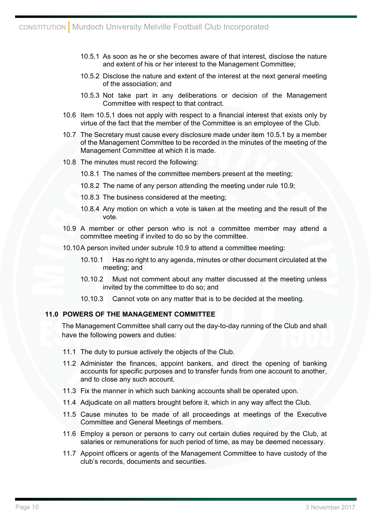- 10.5.1 As soon as he or she becomes aware of that interest, disclose the nature and extent of his or her interest to the Management Committee;
- 10.5.2 Disclose the nature and extent of the interest at the next general meeting of the association; and
- 10.5.3 Not take part in any deliberations or decision of the Management Committee with respect to that contract.
- 10.6 Item 10.5.1 does not apply with respect to a financial interest that exists only by virtue of the fact that the member of the Committee is an employee of the Club.
- 10.7 The Secretary must cause every disclosure made under item 10.5.1 by a member of the Management Committee to be recorded in the minutes of the meeting of the Management Committee at which it is made.
- 10.8 The minutes must record the following:
	- 10.8.1 The names of the committee members present at the meeting;
	- 10.8.2 The name of any person attending the meeting under rule 10.9;
	- 10.8.3 The business considered at the meeting;
	- 10.8.4 Any motion on which a vote is taken at the meeting and the result of the vote.
- 10.9 A member or other person who is not a committee member may attend a committee meeting if invited to do so by the committee.
- 10.10 A person invited under subrule 10.9 to attend a committee meeting:
	- 10.10.1 Has no right to any agenda, minutes or other document circulated at the meeting; and
	- 10.10.2 Must not comment about any matter discussed at the meeting unless invited by the committee to do so; and
	- 10.10.3 Cannot vote on any matter that is to be decided at the meeting.

#### **11.0 POWERS OF THE MANAGEMENT COMMITTEE**

The Management Committee shall carry out the day-to-day running of the Club and shall have the following powers and duties:

- 11.1 The duty to pursue actively the objects of the Club.
- 11.2 Administer the finances, appoint bankers, and direct the opening of banking accounts for specific purposes and to transfer funds from one account to another, and to close any such account.
- 11.3 Fix the manner in which such banking accounts shall be operated upon.
- 11.4 Adjudicate on all matters brought before it, which in any way affect the Club.
- 11.5 Cause minutes to be made of all proceedings at meetings of the Executive Committee and General Meetings of members.
- 11.6 Employ a person or persons to carry out certain duties required by the Club, at salaries or remunerations for such period of time, as may be deemed necessary.
- 11.7 Appoint officers or agents of the Management Committee to have custody of the club's records, documents and securities.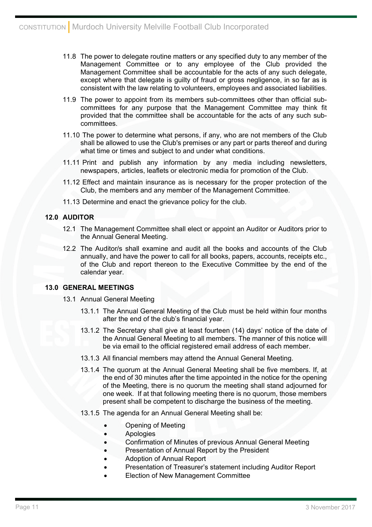- 11.8 The power to delegate routine matters or any specified duty to any member of the Management Committee or to any employee of the Club provided the Management Committee shall be accountable for the acts of any such delegate, except where that delegate is guilty of fraud or gross negligence, in so far as is consistent with the law relating to volunteers, employees and associated liabilities.
- 11.9 The power to appoint from its members sub-committees other than official subcommittees for any purpose that the Management Committee may think fit provided that the committee shall be accountable for the acts of any such subcommittees.
- 11.10 The power to determine what persons, if any, who are not members of the Club shall be allowed to use the Club's premises or any part or parts thereof and during what time or times and subject to and under what conditions.
- 11.11 Print and publish any information by any media including newsletters, newspapers, articles, leaflets or electronic media for promotion of the Club.
- 11.12 Effect and maintain insurance as is necessary for the proper protection of the Club, the members and any member of the Management Committee.
- 11.13 Determine and enact the grievance policy for the club.

# **12.0 AUDITOR**

- 12.1 The Management Committee shall elect or appoint an Auditor or Auditors prior to the Annual General Meeting.
- 12.2 The Auditor/s shall examine and audit all the books and accounts of the Club annually, and have the power to call for all books, papers, accounts, receipts etc., of the Club and report thereon to the Executive Committee by the end of the calendar year.

## **13.0 GENERAL MEETINGS**

- 13.1 Annual General Meeting
	- 13.1.1 The Annual General Meeting of the Club must be held within four months after the end of the club's financial year.
	- 13.1.2 The Secretary shall give at least fourteen (14) days' notice of the date of the Annual General Meeting to all members. The manner of this notice will be via email to the official registered email address of each member.
	- 13.1.3 All financial members may attend the Annual General Meeting.
	- 13.1.4 The quorum at the Annual General Meeting shall be five members. If, at the end of 30 minutes after the time appointed in the notice for the opening of the Meeting, there is no quorum the meeting shall stand adjourned for one week. If at that following meeting there is no quorum, those members present shall be competent to discharge the business of the meeting.
	- 13.1.5 The agenda for an Annual General Meeting shall be:
		- Opening of Meeting
		- **Apologies**
		- Confirmation of Minutes of previous Annual General Meeting
		- Presentation of Annual Report by the President
		- Adoption of Annual Report
		- Presentation of Treasurer's statement including Auditor Report
		- Election of New Management Committee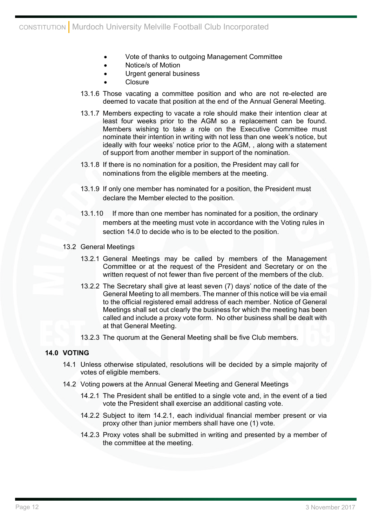- Vote of thanks to outgoing Management Committee
- Notice/s of Motion
- Urgent general business
- Closure
- 13.1.6 Those vacating a committee position and who are not re-elected are deemed to vacate that position at the end of the Annual General Meeting.
- 13.1.7 Members expecting to vacate a role should make their intention clear at least four weeks prior to the AGM so a replacement can be found. Members wishing to take a role on the Executive Committee must nominate their intention in writing with not less than one week's notice, but ideally with four weeks' notice prior to the AGM, , along with a statement of support from another member in support of the nomination.
- 13.1.8 If there is no nomination for a position, the President may call for nominations from the eligible members at the meeting.
- 13.1.9 If only one member has nominated for a position, the President must declare the Member elected to the position.
- 13.1.10 If more than one member has nominated for a position, the ordinary members at the meeting must vote in accordance with the Voting rules in section 14.0 to decide who is to be elected to the position.
- 13.2 General Meetings
	- 13.2.1 General Meetings may be called by members of the Management Committee or at the request of the President and Secretary or on the written request of not fewer than five percent of the members of the club.
	- 13.2.2 The Secretary shall give at least seven (7) days' notice of the date of the General Meeting to all members. The manner of this notice will be via email to the official registered email address of each member. Notice of General Meetings shall set out clearly the business for which the meeting has been called and include a proxy vote form. No other business shall be dealt with at that General Meeting.
	- 13.2.3 The quorum at the General Meeting shall be five Club members.

# **14.0 VOTING**

- 14.1 Unless otherwise stipulated, resolutions will be decided by a simple majority of votes of eligible members.
- 14.2 Voting powers at the Annual General Meeting and General Meetings
	- 14.2.1 The President shall be entitled to a single vote and, in the event of a tied vote the President shall exercise an additional casting vote.
	- 14.2.2 Subject to item 14.2.1, each individual financial member present or via proxy other than junior members shall have one (1) vote.
	- 14.2.3 Proxy votes shall be submitted in writing and presented by a member of the committee at the meeting.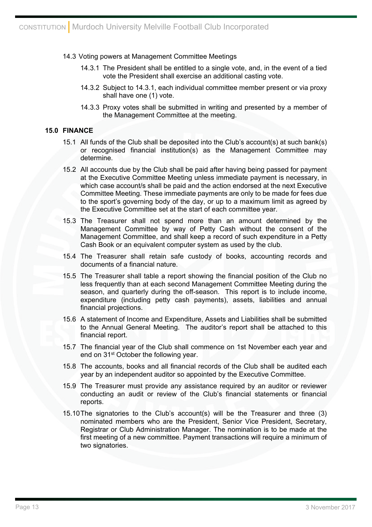#### 14.3 Voting powers at Management Committee Meetings

- 14.3.1 The President shall be entitled to a single vote, and, in the event of a tied vote the President shall exercise an additional casting vote.
- 14.3.2 Subject to 14.3.1, each individual committee member present or via proxy shall have one (1) vote.
- 14.3.3 Proxy votes shall be submitted in writing and presented by a member of the Management Committee at the meeting.

#### **15.0 FINANCE**

- 15.1 All funds of the Club shall be deposited into the Club's account(s) at such bank(s) or recognised financial institution(s) as the Management Committee may determine.
- 15.2 All accounts due by the Club shall be paid after having being passed for payment at the Executive Committee Meeting unless immediate payment is necessary, in which case account/s shall be paid and the action endorsed at the next Executive Committee Meeting. These immediate payments are only to be made for fees due to the sport's governing body of the day, or up to a maximum limit as agreed by the Executive Committee set at the start of each committee year.
- 15.3 The Treasurer shall not spend more than an amount determined by the Management Committee by way of Petty Cash without the consent of the Management Committee, and shall keep a record of such expenditure in a Petty Cash Book or an equivalent computer system as used by the club.
- 15.4 The Treasurer shall retain safe custody of books, accounting records and documents of a financial nature.
- 15.5 The Treasurer shall table a report showing the financial position of the Club no less frequently than at each second Management Committee Meeting during the season, and quarterly during the off-season. This report is to include income, expenditure (including petty cash payments), assets, liabilities and annual financial projections.
- 15.6 A statement of Income and Expenditure, Assets and Liabilities shall be submitted to the Annual General Meeting. The auditor's report shall be attached to this financial report.
- 15.7 The financial year of the Club shall commence on 1st November each year and end on 31st October the following year.
- 15.8 The accounts, books and all financial records of the Club shall be audited each year by an independent auditor so appointed by the Executive Committee.
- 15.9 The Treasurer must provide any assistance required by an auditor or reviewer conducting an audit or review of the Club's financial statements or financial reports.
- 15.10 The signatories to the Club's account(s) will be the Treasurer and three (3) nominated members who are the President, Senior Vice President, Secretary, Registrar or Club Administration Manager. The nomination is to be made at the first meeting of a new committee. Payment transactions will require a minimum of two signatories.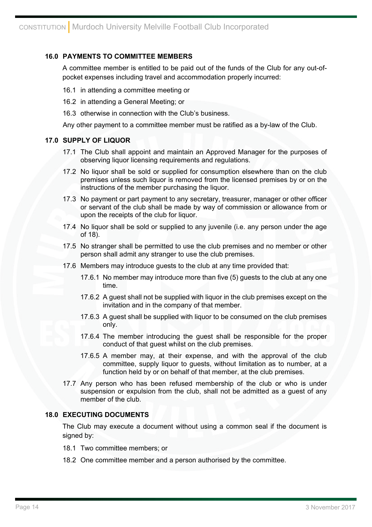## **16.0 PAYMENTS TO COMMITTEE MEMBERS**

A committee member is entitled to be paid out of the funds of the Club for any out-ofpocket expenses including travel and accommodation properly incurred:

- 16.1 in attending a committee meeting or
- 16.2 in attending a General Meeting; or
- 16.3 otherwise in connection with the Club's business.

Any other payment to a committee member must be ratified as a by-law of the Club.

## **17.0 SUPPLY OF LIQUOR**

- 17.1 The Club shall appoint and maintain an Approved Manager for the purposes of observing liquor licensing requirements and regulations.
- 17.2 No liquor shall be sold or supplied for consumption elsewhere than on the club premises unless such liquor is removed from the licensed premises by or on the instructions of the member purchasing the liquor.
- 17.3 No payment or part payment to any secretary, treasurer, manager or other officer or servant of the club shall be made by way of commission or allowance from or upon the receipts of the club for liquor.
- 17.4 No liquor shall be sold or supplied to any juvenile (i.e. any person under the age of 18).
- 17.5 No stranger shall be permitted to use the club premises and no member or other person shall admit any stranger to use the club premises.
- 17.6 Members may introduce guests to the club at any time provided that:
	- 17.6.1 No member may introduce more than five (5) guests to the club at any one time.
	- 17.6.2 A guest shall not be supplied with liquor in the club premises except on the invitation and in the company of that member.
	- 17.6.3 A guest shall be supplied with liquor to be consumed on the club premises only.
	- 17.6.4 The member introducing the guest shall be responsible for the proper conduct of that guest whilst on the club premises.
	- 17.6.5 A member may, at their expense, and with the approval of the club committee, supply liquor to guests, without limitation as to number, at a function held by or on behalf of that member, at the club premises.
- 17.7 Any person who has been refused membership of the club or who is under suspension or expulsion from the club, shall not be admitted as a guest of any member of the club.

## **18.0 EXECUTING DOCUMENTS**

The Club may execute a document without using a common seal if the document is signed by:

- 18.1 Two committee members; or
- 18.2 One committee member and a person authorised by the committee.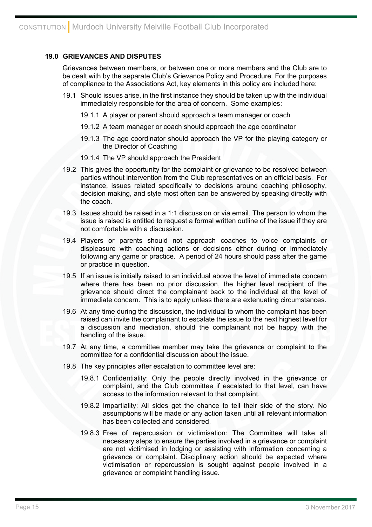## **19.0 GRIEVANCES AND DISPUTES**

Grievances between members, or between one or more members and the Club are to be dealt with by the separate Club's Grievance Policy and Procedure. For the purposes of compliance to the Associations Act, key elements in this policy are included here:

- 19.1 Should issues arise, in the first instance they should be taken up with the individual immediately responsible for the area of concern. Some examples:
	- 19.1.1 A player or parent should approach a team manager or coach
	- 19.1.2 A team manager or coach should approach the age coordinator
	- 19.1.3 The age coordinator should approach the VP for the playing category or the Director of Coaching
	- 19.1.4 The VP should approach the President
- 19.2 This gives the opportunity for the complaint or grievance to be resolved between parties without intervention from the Club representatives on an official basis. For instance, issues related specifically to decisions around coaching philosophy, decision making, and style most often can be answered by speaking directly with the coach.
- 19.3 Issues should be raised in a 1:1 discussion or via email. The person to whom the issue is raised is entitled to request a formal written outline of the issue if they are not comfortable with a discussion.
- 19.4 Players or parents should not approach coaches to voice complaints or displeasure with coaching actions or decisions either during or immediately following any game or practice. A period of 24 hours should pass after the game or practice in question.
- 19.5 If an issue is initially raised to an individual above the level of immediate concern where there has been no prior discussion, the higher level recipient of the grievance should direct the complainant back to the individual at the level of immediate concern. This is to apply unless there are extenuating circumstances.
- 19.6 At any time during the discussion, the individual to whom the complaint has been raised can invite the complainant to escalate the issue to the next highest level for a discussion and mediation, should the complainant not be happy with the handling of the issue.
- 19.7 At any time, a committee member may take the grievance or complaint to the committee for a confidential discussion about the issue.
- 19.8 The key principles after escalation to committee level are:
	- 19.8.1 Confidentiality: Only the people directly involved in the grievance or complaint, and the Club committee if escalated to that level, can have access to the information relevant to that complaint.
	- 19.8.2 Impartiality: All sides get the chance to tell their side of the story. No assumptions will be made or any action taken until all relevant information has been collected and considered.
	- 19.8.3 Free of repercussion or victimisation: The Committee will take all necessary steps to ensure the parties involved in a grievance or complaint are not victimised in lodging or assisting with information concerning a grievance or complaint. Disciplinary action should be expected where victimisation or repercussion is sought against people involved in a grievance or complaint handling issue.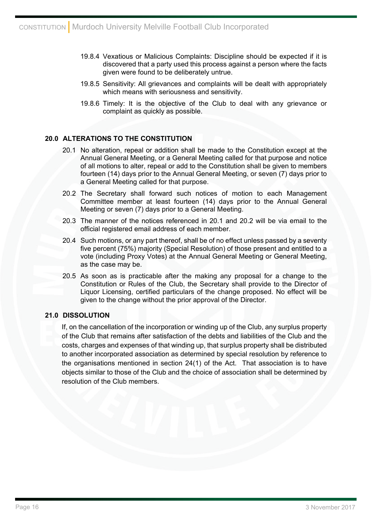- 19.8.4 Vexatious or Malicious Complaints: Discipline should be expected if it is discovered that a party used this process against a person where the facts given were found to be deliberately untrue.
- 19.8.5 Sensitivity: All grievances and complaints will be dealt with appropriately which means with seriousness and sensitivity.
- 19.8.6 Timely: It is the objective of the Club to deal with any grievance or complaint as quickly as possible.

## **20.0 ALTERATIONS TO THE CONSTITUTION**

- 20.1 No alteration, repeal or addition shall be made to the Constitution except at the Annual General Meeting, or a General Meeting called for that purpose and notice of all motions to alter, repeal or add to the Constitution shall be given to members fourteen (14) days prior to the Annual General Meeting, or seven (7) days prior to a General Meeting called for that purpose.
- 20.2 The Secretary shall forward such notices of motion to each Management Committee member at least fourteen (14) days prior to the Annual General Meeting or seven (7) days prior to a General Meeting.
- 20.3 The manner of the notices referenced in 20.1 and 20.2 will be via email to the official registered email address of each member.
- 20.4 Such motions, or any part thereof, shall be of no effect unless passed by a seventy five percent (75%) majority (Special Resolution) of those present and entitled to a vote (including Proxy Votes) at the Annual General Meeting or General Meeting, as the case may be.
- 20.5 As soon as is practicable after the making any proposal for a change to the Constitution or Rules of the Club, the Secretary shall provide to the Director of Liquor Licensing, certified particulars of the change proposed. No effect will be given to the change without the prior approval of the Director.

# **21.0 DISSOLUTION**

If, on the cancellation of the incorporation or winding up of the Club, any surplus property of the Club that remains after satisfaction of the debts and liabilities of the Club and the costs, charges and expenses of that winding up, that surplus property shall be distributed to another incorporated association as determined by special resolution by reference to the organisations mentioned in section 24(1) of the Act. That association is to have objects similar to those of the Club and the choice of association shall be determined by resolution of the Club members.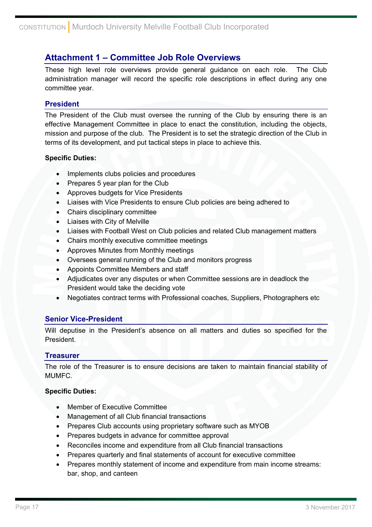# **Attachment 1 – Committee Job Role Overviews**

These high level role overviews provide general guidance on each role. The Club administration manager will record the specific role descriptions in effect during any one committee year.

# **President**

The President of the Club must oversee the running of the Club by ensuring there is an effective Management Committee in place to enact the constitution, including the objects, mission and purpose of the club. The President is to set the strategic direction of the Club in terms of its development, and put tactical steps in place to achieve this.

## **Specific Duties:**

- Implements clubs policies and procedures
- Prepares 5 year plan for the Club
- Approves budgets for Vice Presidents
- Liaises with Vice Presidents to ensure Club policies are being adhered to
- Chairs disciplinary committee
- Liaises with City of Melville
- Liaises with Football West on Club policies and related Club management matters
- Chairs monthly executive committee meetings
- Approves Minutes from Monthly meetings
- Oversees general running of the Club and monitors progress
- Appoints Committee Members and staff
- Adjudicates over any disputes or when Committee sessions are in deadlock the President would take the deciding vote
- Negotiates contract terms with Professional coaches, Suppliers, Photographers etc

## **Senior Vice-President**

Will deputise in the President's absence on all matters and duties so specified for the President.

## **Treasurer**

The role of the Treasurer is to ensure decisions are taken to maintain financial stability of MUMFC.

## **Specific Duties:**

- Member of Executive Committee
- Management of all Club financial transactions
- Prepares Club accounts using proprietary software such as MYOB
- Prepares budgets in advance for committee approval
- Reconciles income and expenditure from all Club financial transactions
- Prepares quarterly and final statements of account for executive committee
- Prepares monthly statement of income and expenditure from main income streams: bar, shop, and canteen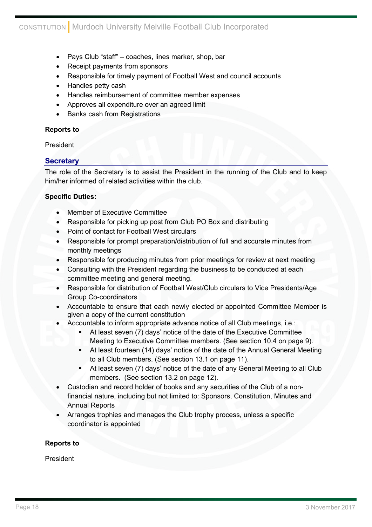- Pays Club "staff" coaches, lines marker, shop, bar
- Receipt payments from sponsors
- Responsible for timely payment of Football West and council accounts
- Handles petty cash
- Handles reimbursement of committee member expenses
- Approves all expenditure over an agreed limit
- Banks cash from Registrations

## **Reports to**

President

# **Secretary**

The role of the Secretary is to assist the President in the running of the Club and to keep him/her informed of related activities within the club.

# **Specific Duties:**

- Member of Executive Committee
- Responsible for picking up post from Club PO Box and distributing
- Point of contact for Football West circulars
- Responsible for prompt preparation/distribution of full and accurate minutes from monthly meetings
- Responsible for producing minutes from prior meetings for review at next meeting
- Consulting with the President regarding the business to be conducted at each committee meeting and general meeting.
- Responsible for distribution of Football West/Club circulars to Vice Presidents/Age Group Co-coordinators
- Accountable to ensure that each newly elected or appointed Committee Member is given a copy of the current constitution
- Accountable to inform appropriate advance notice of all Club meetings, i.e.:
	- At least seven (7) days' notice of the date of the Executive Committee Meeting to Executive Committee members. (See section 10.4 on page 9).
	- At least fourteen (14) days' notice of the date of the Annual General Meeting to all Club members. (See section 13.1 on page 11).
	- At least seven (7) days' notice of the date of any General Meeting to all Club members. (See section 13.2 on page 12).
- Custodian and record holder of books and any securities of the Club of a nonfinancial nature, including but not limited to: Sponsors, Constitution, Minutes and Annual Reports
- Arranges trophies and manages the Club trophy process, unless a specific coordinator is appointed

# **Reports to**

President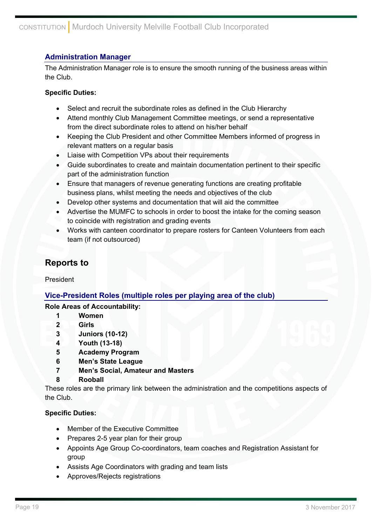# **Administration Manager**

The Administration Manager role is to ensure the smooth running of the business areas within the Club.

# **Specific Duties:**

- Select and recruit the subordinate roles as defined in the Club Hierarchy
- Attend monthly Club Management Committee meetings, or send a representative from the direct subordinate roles to attend on his/her behalf
- Keeping the Club President and other Committee Members informed of progress in relevant matters on a regular basis
- Liaise with Competition VPs about their requirements
- Guide subordinates to create and maintain documentation pertinent to their specific part of the administration function
- Ensure that managers of revenue generating functions are creating profitable business plans, whilst meeting the needs and objectives of the club
- Develop other systems and documentation that will aid the committee
- Advertise the MUMFC to schools in order to boost the intake for the coming season to coincide with registration and grading events
- Works with canteen coordinator to prepare rosters for Canteen Volunteers from each team (if not outsourced)

# **Reports to**

President

# **Vice-President Roles (multiple roles per playing area of the club)**

# **Role Areas of Accountability:**

- **1 Women**
- **2 Girls**
- **3 Juniors (10-12)**
- **4 Youth (13-18)**
- **5 Academy Program**
- **6 Men's State League**
- **7 Men's Social, Amateur and Masters**
- **8 Rooball**

These roles are the primary link between the administration and the competitions aspects of the Club.

## **Specific Duties:**

- Member of the Executive Committee
- Prepares 2-5 year plan for their group
- Appoints Age Group Co-coordinators, team coaches and Registration Assistant for group
- Assists Age Coordinators with grading and team lists
- Approves/Rejects registrations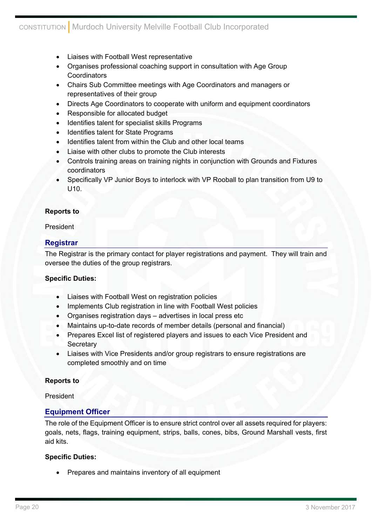- Liaises with Football West representative
- Organises professional coaching support in consultation with Age Group **Coordinators**
- Chairs Sub Committee meetings with Age Coordinators and managers or representatives of their group
- Directs Age Coordinators to cooperate with uniform and equipment coordinators
- Responsible for allocated budget
- Identifies talent for specialist skills Programs
- Identifies talent for State Programs
- Identifies talent from within the Club and other local teams
- Liaise with other clubs to promote the Club interests
- Controls training areas on training nights in conjunction with Grounds and Fixtures coordinators
- Specifically VP Junior Boys to interlock with VP Rooball to plan transition from U9 to U10.

## **Reports to**

#### President

# **Registrar**

The Registrar is the primary contact for player registrations and payment. They will train and oversee the duties of the group registrars.

## **Specific Duties:**

- Liaises with Football West on registration policies
- Implements Club registration in line with Football West policies
- Organises registration days advertises in local press etc
- Maintains up-to-date records of member details (personal and financial)
- Prepares Excel list of registered players and issues to each Vice President and **Secretary**
- Liaises with Vice Presidents and/or group registrars to ensure registrations are completed smoothly and on time

## **Reports to**

President

# **Equipment Officer**

The role of the Equipment Officer is to ensure strict control over all assets required for players: goals, nets, flags, training equipment, strips, balls, cones, bibs, Ground Marshall vests, first aid kits.

## **Specific Duties:**

Prepares and maintains inventory of all equipment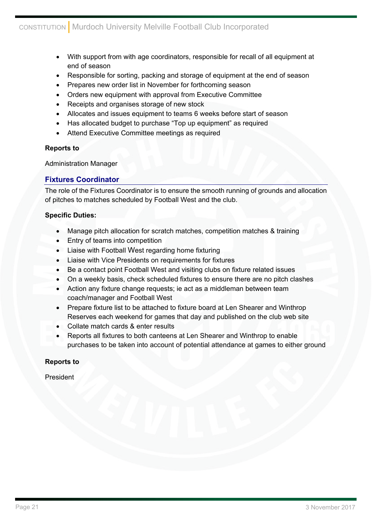- With support from with age coordinators, responsible for recall of all equipment at end of season
- Responsible for sorting, packing and storage of equipment at the end of season
- Prepares new order list in November for forthcoming season
- Orders new equipment with approval from Executive Committee
- Receipts and organises storage of new stock
- Allocates and issues equipment to teams 6 weeks before start of season
- Has allocated budget to purchase "Top up equipment" as required
- Attend Executive Committee meetings as required

# **Reports to**

Administration Manager

# **Fixtures Coordinator**

The role of the Fixtures Coordinator is to ensure the smooth running of grounds and allocation of pitches to matches scheduled by Football West and the club.

# **Specific Duties:**

- Manage pitch allocation for scratch matches, competition matches & training
- Entry of teams into competition
- Liaise with Football West regarding home fixturing
- Liaise with Vice Presidents on requirements for fixtures
- Be a contact point Football West and visiting clubs on fixture related issues
- On a weekly basis, check scheduled fixtures to ensure there are no pitch clashes
- Action any fixture change requests; ie act as a middleman between team coach/manager and Football West
- Prepare fixture list to be attached to fixture board at Len Shearer and Winthrop Reserves each weekend for games that day and published on the club web site
- Collate match cards & enter results
- Reports all fixtures to both canteens at Len Shearer and Winthrop to enable purchases to be taken into account of potential attendance at games to either ground

# **Reports to**

President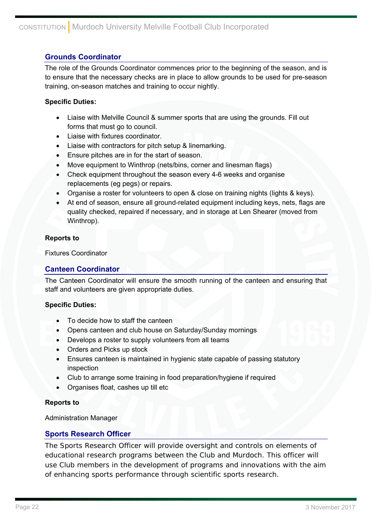# **Grounds Coordinator**

The role of the Grounds Coordinator commences prior to the beginning of the season, and is to ensure that the necessary checks are in place to allow grounds to be used for pre-season training, on-season matches and training to occur nightly.

# **Specific Duties:**

- Liaise with Melville Council & summer sports that are using the grounds. Fill out forms that must go to council.
- Liaise with fixtures coordinator.
- Liaise with contractors for pitch setup & linemarking.
- Ensure pitches are in for the start of season.
- Move equipment to Winthrop (nets/bins, corner and linesman flags)
- Check equipment throughout the season every 4-6 weeks and organise replacements (eg pegs) or repairs.
- Organise a roster for volunteers to open & close on training nights (lights & keys).
- At end of season, ensure all ground-related equipment including keys, nets, flags are quality checked, repaired if necessary, and in storage at Len Shearer (moved from Winthrop).

## **Reports to**

Fixtures Coordinator

# **Canteen Coordinator**

The Canteen Coordinator will ensure the smooth running of the canteen and ensuring that staff and volunteers are given appropriate duties.

## **Specific Duties:**

- To decide how to staff the canteen
- Opens canteen and club house on Saturday/Sunday mornings
- Develops a roster to supply volunteers from all teams
- Orders and Picks up stock
- Ensures canteen is maintained in hygienic state capable of passing statutory inspection
- Club to arrange some training in food preparation/hygiene if required
- Organises float, cashes up till etc

## **Reports to**

Administration Manager

# **Sports Research Officer**

The Sports Research Officer will provide oversight and controls on elements of educational research programs between the Club and Murdoch. This officer will use Club members in the development of programs and innovations with the aim of enhancing sports performance through scientific sports research.